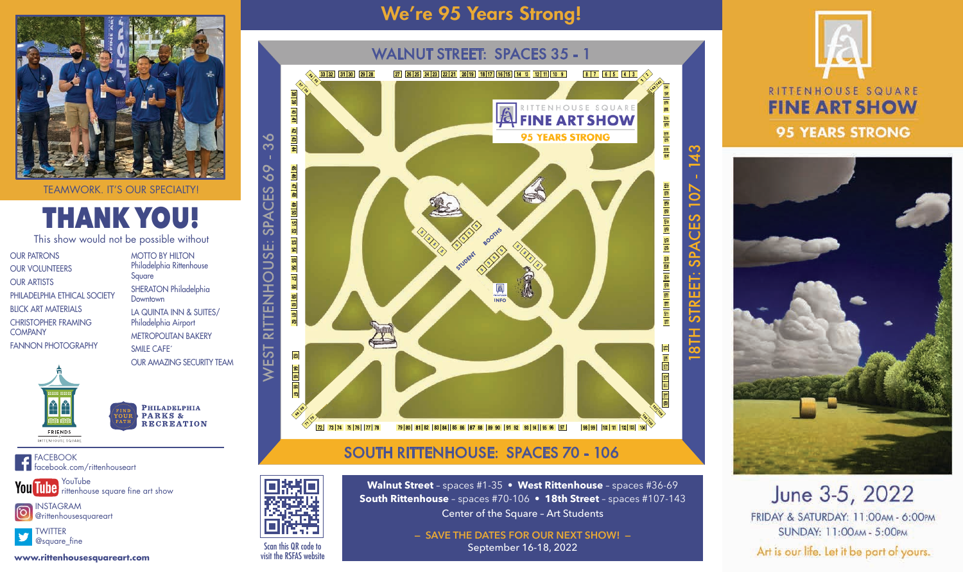**Walnut Street** – spaces #1-35 • **West Rittenhouse** – spaces #36-69 **South Rittenhouse** – spaces #70-106 • **18th Street** – spaces #107-143 Center of the Square – Art Students

> **— SAVE THE DATES FOR OUR NEXT SHOW! —** September 16-18, 2022



### RITTENHOUSE SQUARE **FINE ART SHOW 95 YEARS STRONG**



## June 3-5, 2022

FRIDAY & SATURDAY: 11:00AM - 6:00PM SUNDAY: 11:00AM - 5:00PM

Art is our life. Let it be part of yours.



Scan this QR code to visit the RSFAS website

# THANK YOU!

This show would not be possible without

INSTAGRAM ම @rittenhousesquareart

FACEBOOK facebook.com/rittenhouseart

YouTube rittenhouse square fine art show





### SOUTH RITTENHOUSE: SPACES 70 - 106



OUR PATRONS OUR VOLUNTEERS OUR ARTISTS PHILADELPHIA ETHICAL SOCIETY BLICK ART MATERIALS CHRISTOPHER FRAMING **COMPANY** FANNON PHOTOGRAPHY

MOTTO BY HILTON Philadelphia Rittenhouse Square SHERATON Philadelphia **Downtown** LA QUINTA INN & SUITES/ Philadelphia Airport METROPOLITAN BAKERY SMILE CAFE´ OUR AMAZING SECURITY TEAM



PHILADELPHIA<br>PARKS & **RECREATION** 

**www.rittenhousesquareart.com**

## We're 95 Years Strong!